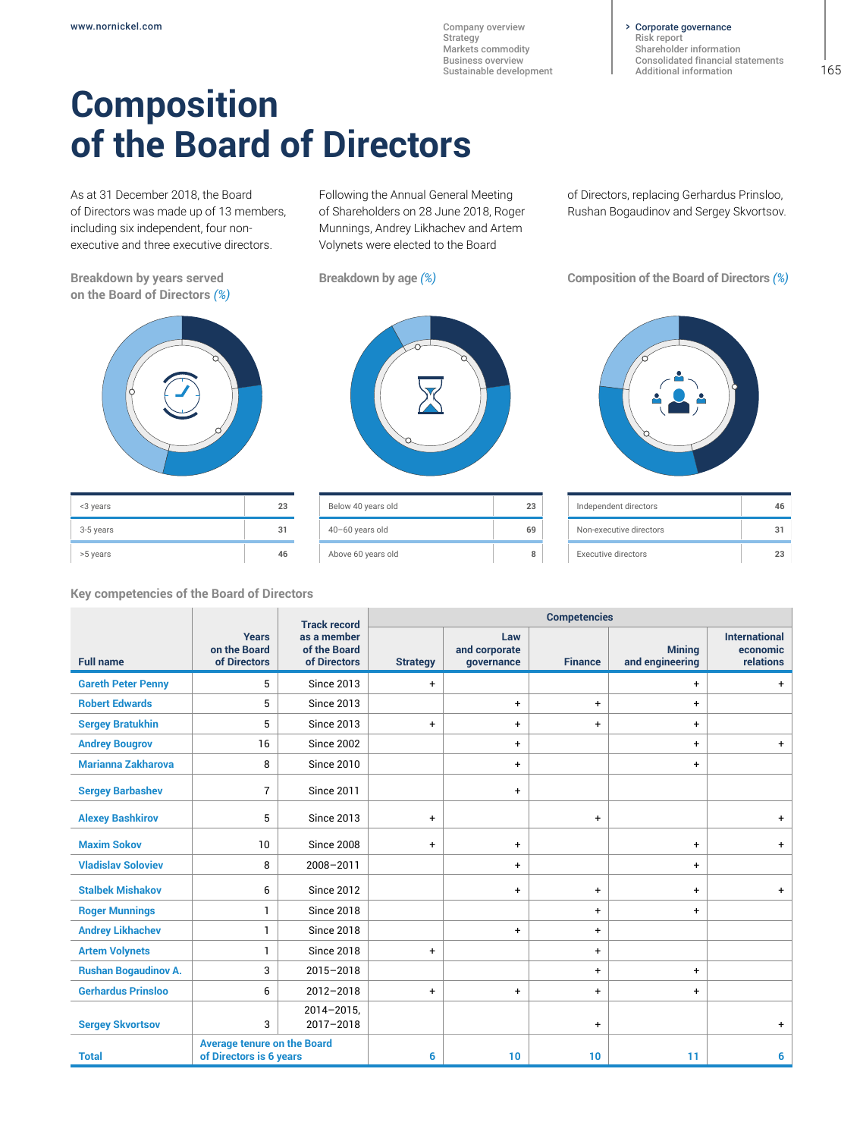Corporate governance [Risk report](#page--1-0)

[Shareholder information](#page--1-0) [Consolidated financial statements](#page--1-0) [Additional information](#page--1-0)

# **Composition of the Board of Directors**

As at 31 December 2018, the Board of Directors was made up of 13 members, including six independent, four nonexecutive and three executive directors.

**Breakdown by years served on the Board of Directors** *(%)*



| <3 years  | 23 |
|-----------|----|
| 3-5 years | 31 |
| >5 years  | 46 |

**Key competencies of the Board of Directors**

Following the Annual General Meeting of Shareholders on 28 June 2018, Roger Munnings, Andrey Likhachev and Artem Volynets were elected to the Board

| Below 40 years old | 23 |
|--------------------|----|
| 40-60 years old    | 69 |
| Above 60 years old |    |

of Directors, replacing Gerhardus Prinsloo, Rushan Bogaudinov and Sergey Skvortsov.

**Breakdown by age** *(%)* **Composition of the Board of Directors** *(%)*



| Independent directors   |  |
|-------------------------|--|
| Non-executive directors |  |
| Executive directors     |  |

|                             |                                                               | <b>Competencies</b><br><b>Track record</b>  |                 |                                    |                |                                  |                                               |
|-----------------------------|---------------------------------------------------------------|---------------------------------------------|-----------------|------------------------------------|----------------|----------------------------------|-----------------------------------------------|
| <b>Full name</b>            | <b>Years</b><br>on the Board<br>of Directors                  | as a member<br>of the Board<br>of Directors | <b>Strategy</b> | Law<br>and corporate<br>governance | <b>Finance</b> | <b>Mining</b><br>and engineering | <b>International</b><br>economic<br>relations |
| <b>Gareth Peter Penny</b>   | 5                                                             | <b>Since 2013</b>                           | $\ddot{}$       |                                    |                | $\ddot{}$                        | $\ddot{}$                                     |
| <b>Robert Edwards</b>       | 5                                                             | <b>Since 2013</b>                           |                 | $\ddot{}$                          | $\ddot{}$      | $\ddot{}$                        |                                               |
| <b>Sergey Bratukhin</b>     | 5                                                             | <b>Since 2013</b>                           | $\ddot{}$       | $+$                                | $\ddot{}$      | $\ddot{}$                        |                                               |
| <b>Andrey Bougrov</b>       | 16                                                            | <b>Since 2002</b>                           |                 | $\ddot{}$                          |                | $\ddot{}$                        | $+$                                           |
| <b>Marianna Zakharova</b>   | 8                                                             | <b>Since 2010</b>                           |                 | $+$                                |                | $\ddot{}$                        |                                               |
| <b>Sergey Barbashev</b>     | $\overline{7}$                                                | <b>Since 2011</b>                           |                 | $\ddot{}$                          |                |                                  |                                               |
| <b>Alexey Bashkirov</b>     | 5                                                             | <b>Since 2013</b>                           | $\ddot{}$       |                                    | $\ddot{}$      |                                  | $\ddot{}$                                     |
| <b>Maxim Sokov</b>          | 10                                                            | <b>Since 2008</b>                           | $\ddot{}$       | $\ddot{}$                          |                | $\ddot{}$                        | $+$                                           |
| <b>Vladislav Soloviev</b>   | 8                                                             | 2008-2011                                   |                 | $\ddot{}$                          |                | $\ddot{}$                        |                                               |
| <b>Stalbek Mishakov</b>     | 6                                                             | <b>Since 2012</b>                           |                 | $+$                                | $\ddot{}$      | $+$                              | $\ddot{}$                                     |
| <b>Roger Munnings</b>       | 1                                                             | <b>Since 2018</b>                           |                 |                                    | $\ddot{}$      | $\ddot{}$                        |                                               |
| <b>Andrey Likhachev</b>     | 1                                                             | <b>Since 2018</b>                           |                 | $\ddot{}$                          | $\ddot{}$      |                                  |                                               |
| <b>Artem Volynets</b>       | $\mathbf{1}$                                                  | <b>Since 2018</b>                           | $\ddot{}$       |                                    | $\ddot{}$      |                                  |                                               |
| <b>Rushan Bogaudinov A.</b> | 3                                                             | 2015-2018                                   |                 |                                    | $\ddot{}$      | $\ddot{}$                        |                                               |
| <b>Gerhardus Prinsloo</b>   | 6                                                             | 2012-2018                                   | $\ddot{}$       | $+$                                | $\ddot{}$      | $\ddot{}$                        |                                               |
| <b>Sergey Skvortsov</b>     | 3                                                             | $2014 - 2015$ ,<br>2017-2018                |                 |                                    | $\ddot{}$      |                                  | $\ddot{}$                                     |
| <b>Total</b>                | <b>Average tenure on the Board</b><br>of Directors is 6 years |                                             | 6               | 10                                 | 10             | 11                               | 6                                             |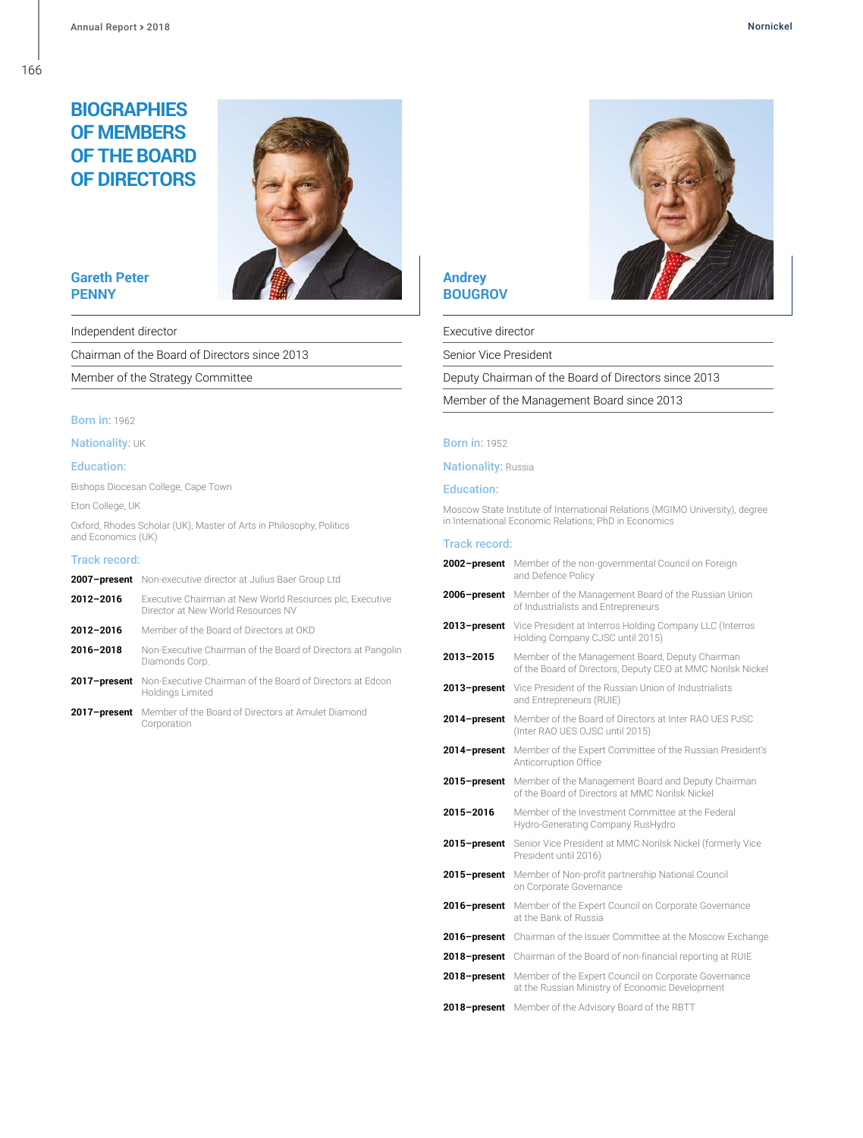166

# **BIOGRAPHIES OF MEMBERS OF THE BOARD OF DIRECTORS**



# **Gareth Peter PENNY**

Independent director

Chairman of the Board of Directors since 2013

Member of the Strategy Committee

#### **Born in: 1962**

**Nationality: UK** 

#### Education:

Bishops Diocesan College, Cape Town

Eton College, UK

Oxford, Rhodes Scholar (UK), Master of Arts in Philosophy, Politics and Economics (UK)

#### Track record:

|              | <b>2007-present</b> Non-executive director at Julius Baer Group Ltd                            |
|--------------|------------------------------------------------------------------------------------------------|
| 2012-2016    | Executive Chairman at New World Resources plc, Executive<br>Director at New World Resources NV |
| 2012-2016    | Member of the Board of Directors at OKD                                                        |
| 2016-2018    | Non-Executive Chairman of the Board of Directors at Pangolin<br>Diamonds Corp.                 |
|              | 2017-present Non-Executive Chairman of the Board of Directors at Edcon<br>Holdings Limited     |
| 2017-present | Member of the Board of Directors at Amulet Diamond<br>Corporation                              |

# **Andrey BOUGROV**

Executive director

Senior Vice President

Deputy Chairman of the Board of Directors since 2013

Member of the Management Board since 2013

#### **Born in: 1952**

**Nationality: Russia** 

#### Education:

Moscow State Institute of International Relations (MGIMO University), degree in International Economic Relations; PhD in Economics

|              | 2002-present Member of the non-governmental Council on Foreign<br>and Defence Policy                           |
|--------------|----------------------------------------------------------------------------------------------------------------|
| 2006-present | Member of the Management Board of the Russian Union<br>of Industrialists and Entrepreneurs                     |
| 2013-present | Vice President at Interros Holding Company LLC (Interros<br>Holding Company CJSC until 2015)                   |
| 2013-2015    | Member of the Management Board, Deputy Chairman<br>of the Board of Directors, Deputy CEO at MMC Norilsk Nickel |
| 2013-present | Vice President of the Russian Union of Industrialists<br>and Entrepreneurs (RUIE)                              |
| 2014-present | Member of the Board of Directors at Inter RAO UES PJSC<br>(Inter RAO UES OJSC until 2015)                      |
| 2014-present | Member of the Expert Committee of the Russian President's<br>Anticorruption Office                             |
| 2015-present | Member of the Management Board and Deputy Chairman<br>of the Board of Directors at MMC Norilsk Nickel          |
| 2015-2016    | Member of the Investment Committee at the Federal<br>Hydro-Generating Company RusHydro                         |
| 2015-present | Senior Vice President at MMC Norilsk Nickel (formerly Vice<br>President until 2016)                            |
| 2015-present | Member of Non-profit partnership National Council<br>on Corporate Governance                                   |
| 2016-present | Member of the Expert Council on Corporate Governance<br>at the Bank of Russia                                  |
| 2016-present | Chairman of the Issuer Committee at the Moscow Exchange                                                        |
| 2018-present | Chairman of the Board of non-financial reporting at RUIE                                                       |
| 2018-present | Member of the Expert Council on Corporate Governance<br>at the Russian Ministry of Economic Development        |
| 2018-present | Member of the Advisory Board of the RBTT                                                                       |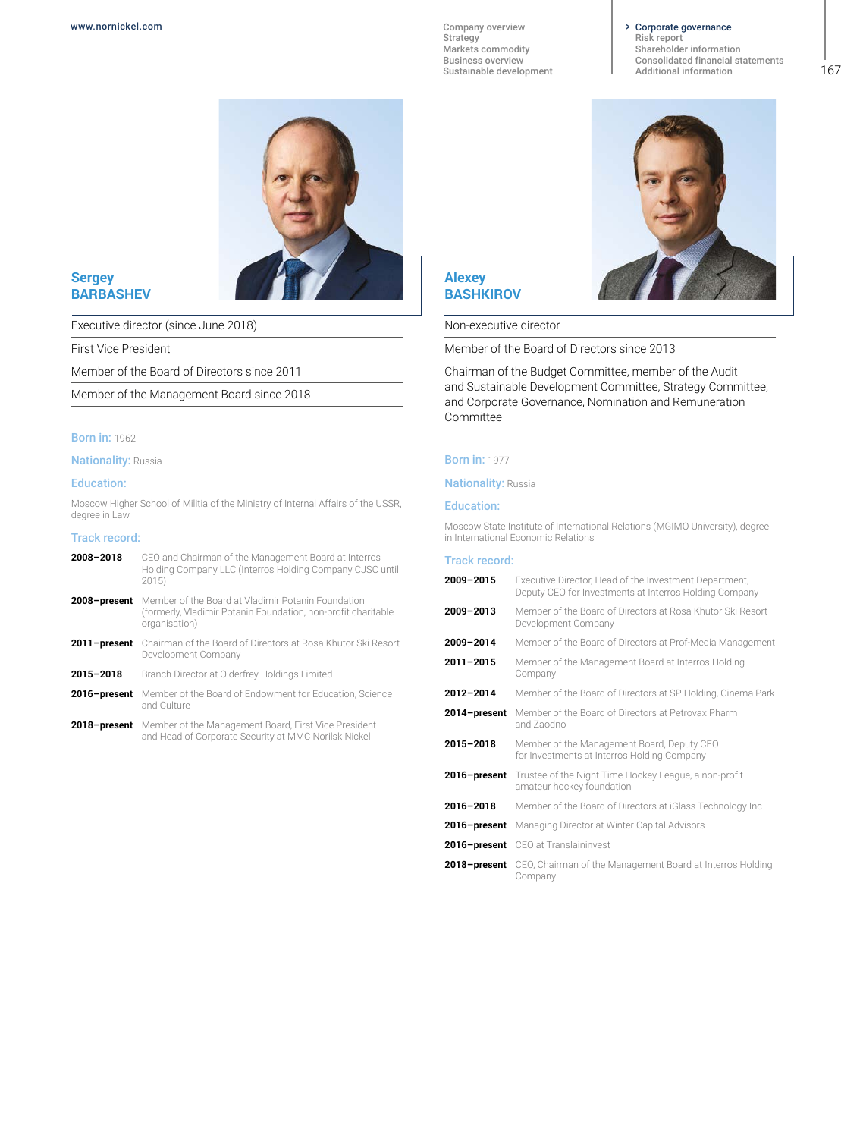#### Corporate governance

[Risk report](#page--1-0) [Shareholder information](#page--1-0) [Consolidated financial statements](#page--1-0) [Additional information](#page--1-0)



**Sergey BARBASHEV**

Executive director (since June 2018)

First Vice President

Member of the Board of Directors since 2011

Member of the Management Board since 2018

# **Born in: 1962**

**Nationality: Russia** 

#### Education:

Moscow Higher School of Militia of the Ministry of Internal Affairs of the USSR, degree in Law

#### Track record:

| 2008-2018    | CEO and Chairman of the Management Board at Interros<br>Holding Company LLC (Interros Holding Company CJSC until<br>2015)            |
|--------------|--------------------------------------------------------------------------------------------------------------------------------------|
| 2008-present | Member of the Board at Vladimir Potanin Foundation<br>(formerly, Vladimir Potanin Foundation, non-profit charitable<br>organisation) |
| 2011-present | Chairman of the Board of Directors at Rosa Khutor Ski Resort<br>Development Company                                                  |
| 2015-2018    | Branch Director at Olderfrey Holdings Limited                                                                                        |
| 2016-present | Member of the Board of Endowment for Education. Science<br>and Culture                                                               |
|              | 2018-present Member of the Management Board, First Vice President<br>and Head of Corporate Security at MMC Norilsk Nickel            |
|              |                                                                                                                                      |



Non-executive director

Member of the Board of Directors since 2013

Chairman of the Budget Committee, member of the Audit and Sustainable Development Committee, Strategy Committee, and Corporate Governance, Nomination and Remuneration Committee

#### Born in: 1977

**Nationality: Russia** 

#### Education:

Moscow State Institute of International Relations (MGIMO University), degree in International Economic Relations

| 2009-2015    | Executive Director, Head of the Investment Department,<br>Deputy CEO for Investments at Interros Holding Company |
|--------------|------------------------------------------------------------------------------------------------------------------|
| 2009-2013    | Member of the Board of Directors at Rosa Khutor Ski Resort<br>Development Company                                |
| 2009-2014    | Member of the Board of Directors at Prof-Media Management                                                        |
| 2011-2015    | Member of the Management Board at Interros Holding<br>Company                                                    |
| 2012-2014    | Member of the Board of Directors at SP Holding, Cinema Park                                                      |
| 2014–present | Member of the Board of Directors at Petrovax Pharm<br>and Zaodno                                                 |
| 2015-2018    | Member of the Management Board, Deputy CEO<br>for Investments at Interros Holding Company                        |
| 2016–present | Trustee of the Night Time Hockey League, a non-profit<br>amateur hockey foundation                               |
| 2016-2018    | Member of the Board of Directors at iGlass Technology Inc.                                                       |
|              | 2016-present Managing Director at Winter Capital Advisors                                                        |
|              | 2016-present CEO at Translaininvest                                                                              |
|              | 2018-present CEO, Chairman of the Management Board at Interros Holding<br>Company                                |
|              |                                                                                                                  |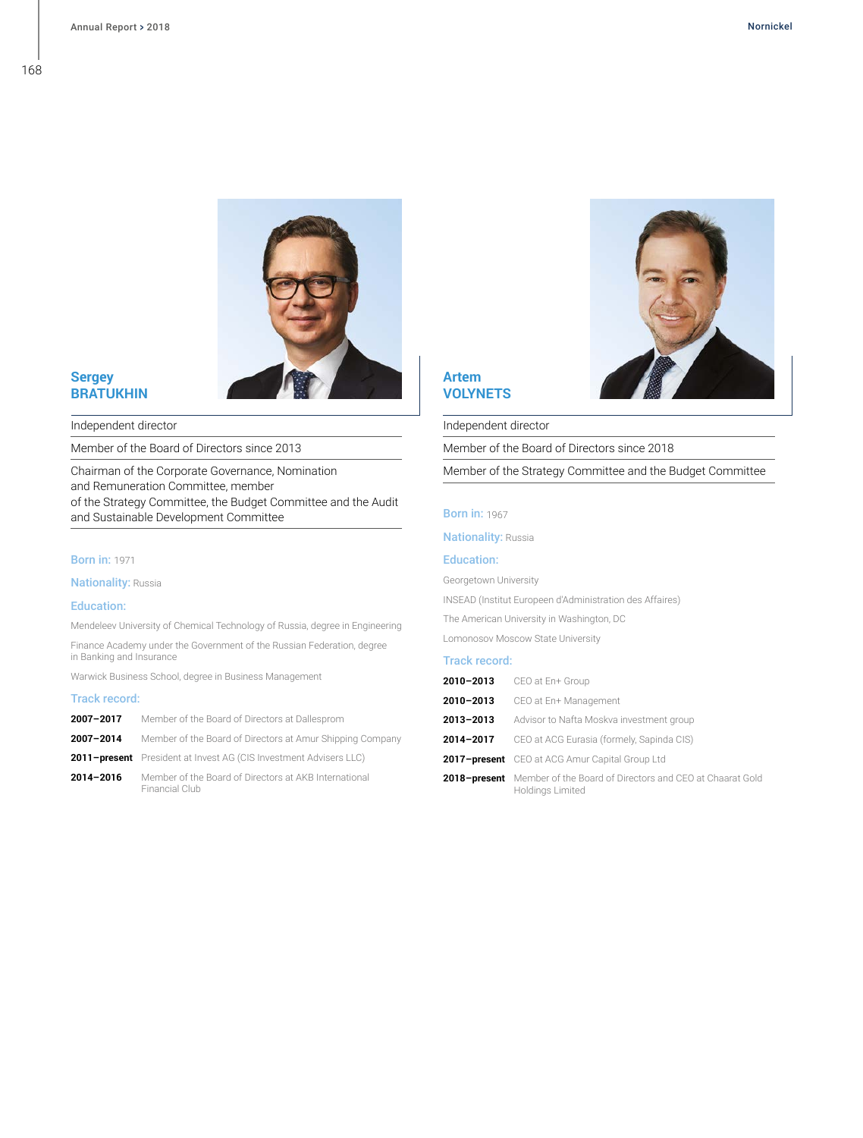168



# **Sergey BRATUKHIN**

Independent director

Member of the Board of Directors since 2013

Chairman of the Corporate Governance, Nomination and Remuneration Committee, member of the Strategy Committee, the Budget Committee and the Audit and Sustainable Development Committee

# **Born in: 1971**

**Nationality: Russia** 

#### Education:

Mendeleev University of Chemical Technology of Russia, degree in Engineering

Finance Academy under the Government of the Russian Federation, degree in Banking and Insurance

Warwick Business School, degree in Business Management

## Track record:

| 2007-2017 | Member of the Board of Directors at Dallesprom                          |
|-----------|-------------------------------------------------------------------------|
| 2007-2014 | Member of the Board of Directors at Amur Shipping Company               |
|           | 2011-present President at Invest AG (CIS Investment Advisers LLC)       |
| 2014-2016 | Member of the Board of Directors at AKB International<br>Financial Club |

# **Artem VOLYNETS**

Independent director

Member of the Board of Directors since 2018

Member of the Strategy Committee and the Budget Committee

#### **Born in: 1967**

**Nationality: Russia** 

#### Education:

Georgetown University

INSEAD (Institut Europeen d'Administration des Affaires)

The American University in Washington, DC

Lomonosov Moscow State University

|           | <b>2010-2013</b> CEO at En+ Group                                                                |
|-----------|--------------------------------------------------------------------------------------------------|
|           | 2010-2013 CEO at En+ Management                                                                  |
| 2013-2013 | Advisor to Nafta Moskva investment group                                                         |
| 2014-2017 | CEO at ACG Eurasia (formely, Sapinda CIS)                                                        |
|           | 2017-present CEO at ACG Amur Capital Group Ltd                                                   |
|           | <b>2018-present</b> Member of the Board of Directors and CEO at Chaarat Gold<br>Holdings Limited |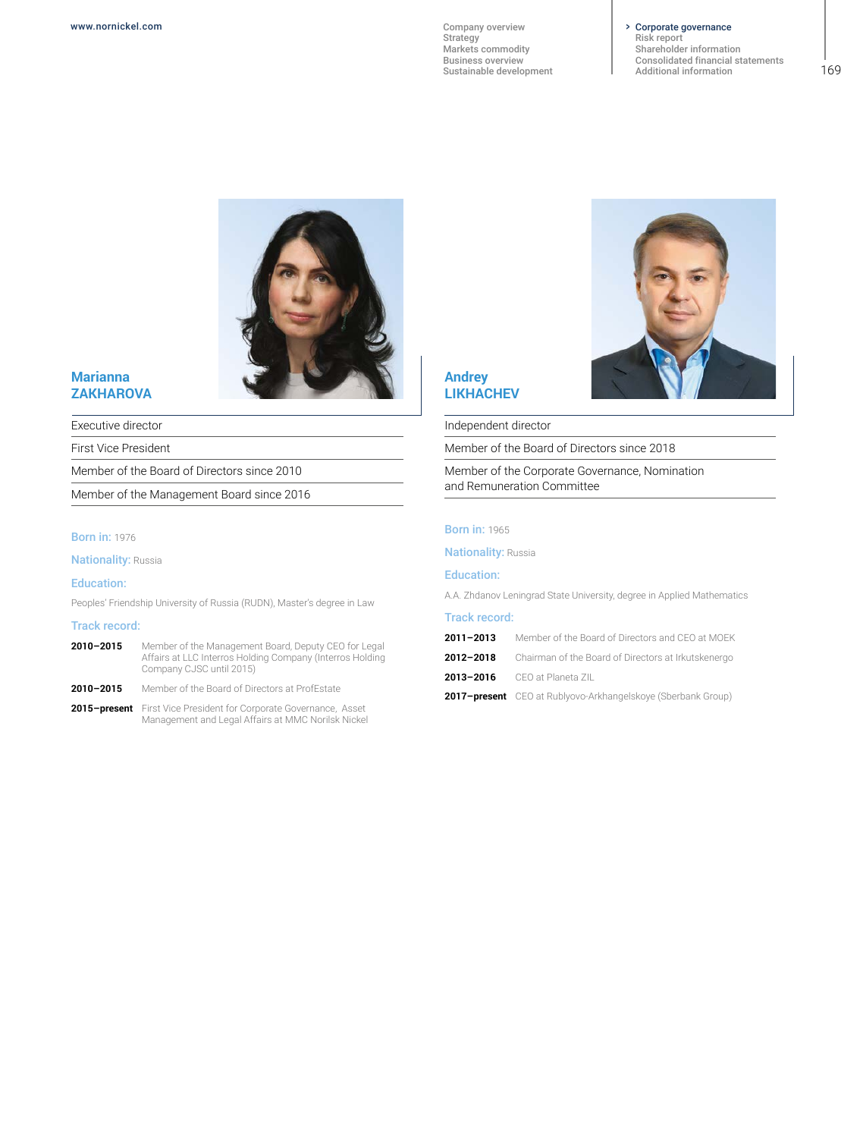#### Corporate governance

[Risk report](#page--1-0) [Shareholder information](#page--1-0) [Consolidated financial statements](#page--1-0) [Additional information](#page--1-0)



# **Marianna ZAKHAROVA**

Executive director

First Vice President

Member of the Board of Directors since 2010

Member of the Management Board since 2016

# **Born in: 1976**

**Nationality: Russia** 

#### Education:

Peoples' Friendship University of Russia (RUDN), Master's degree in Law

#### Track record:

- **2010–2015** Member of the Management Board, Deputy CEO for Legal Affairs at LLC Interros Holding Company (Interros Holding Company CJSC until 2015)
- **2010–2015** Member of the Board of Directors at ProfEstate
- **2015–present** First Vice President for Corporate Governance, Asset Management and Legal Affairs at MMC Norilsk Nickel



# **Andrey LIKHACHEV**

Independent director

Member of the Board of Directors since 2018

Member of the Corporate Governance, Nomination and Remuneration Committee

#### **Born in: 1965**

**Nationality: Russia** 

#### Education:

A.A. Zhdanov Leningrad State University, degree in Applied Mathematics

#### Track record:

- **2011–2013** Member of the Board of Directors and CEO at MOEK
- **2012–2018** Chairman of the Board of Directors at Irkutskenergo
- **2013–2016** CEO at Planeta ZIL

**2017–present** CEO at Rublyovo-Arkhangelskoye (Sberbank Group)

169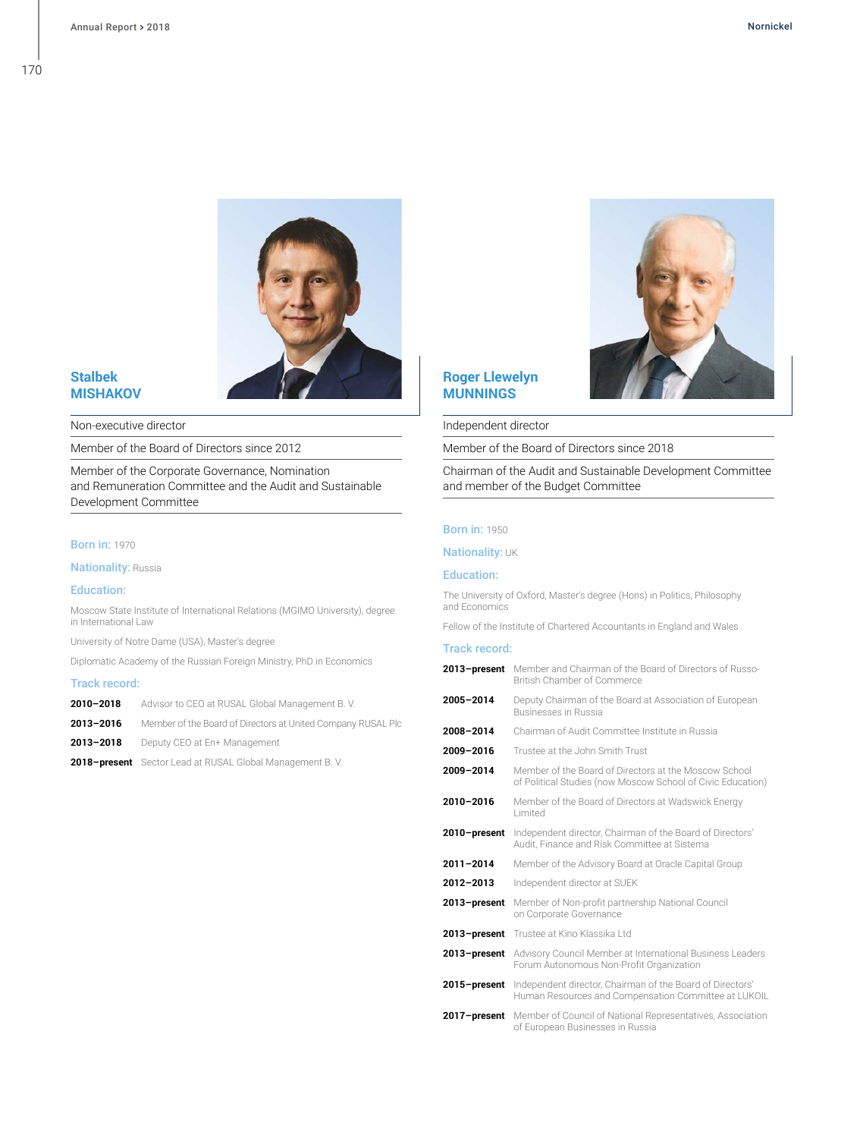

# **Stalbek MISHAKOV**

Non-executive director

Member of the Board of Directors since 2012

Member of the Corporate Governance, Nomination and Remuneration Committee and the Audit and Sustainable Development Committee

#### **Born in: 1970**

**Nationality: Russia** 

#### Education:

Moscow State Institute of International Relations (MGIMO University), degree in International Law

University of Notre Dame (USA), Master's degree

Diplomatic Academy of the Russian Foreign Ministry, PhD in Economics

#### Track record:

| 2010-2018 | Advisor to CEO at RUSAL Global Management B.V.               |
|-----------|--------------------------------------------------------------|
| 2013-2016 | Member of the Board of Directors at United Company RUSAL Plc |
| 2013-2018 | Deputy CEO at En+ Management                                 |
|           | 2018-present Sector Lead at RUSAL Global Management B.V.     |

# **Roger Llewelyn MUNNINGS**



#### Independent director

Member of the Board of Directors since 2018

Chairman of the Audit and Sustainable Development Committee and member of the Budget Committee

# **Born in: 1950**

**Nationality: UK** 

#### Education:

The University of Oxford, Master's degree (Hons) in Politics, Philosophy and Economics

Fellow of the Institute of Chartered Accountants in England and Wales

|           | 2013-present Member and Chairman of the Board of Directors of Russo-<br><b>British Chamber of Commerce</b> |
|-----------|------------------------------------------------------------------------------------------------------------|
| 2005-2014 | Deputy Chairman of the Board at Association of European<br>Businesses in Russia                            |
| 2008-2014 | Chairman of Audit Committee Institute in Russia                                                            |
| 2009-2016 | Trustee at the John Smith Trust                                                                            |
| 2009-2014 | Member of the Board of Directors at the Moscow School                                                      |

- of Political Studies (now Moscow School of Civic Education) **2010–2016** Member of the Board of Directors at Wadswick Energy
- Limited **2010–present** Independent director, Chairman of the Board of Directors'
- Audit, Finance and Risk Committee at Sistema **2011–2014** Member of the Advisory Board at Oracle Capital Group
- **2012–2013** Independent director at SUEK
- **2013–present** Member of Non-profit partnership National Council on Corporate Governance
- **2013–present** Trustee at Kino Klassika Ltd
- **2013–present** Advisory Council Member at International Business Leaders Forum Autonomous Non-Profit Organization
- **2015–present** Independent director, Chairman of the Board of Directors' Human Resources and Compensation Committee at LUKOIL
- **2017–present** Member of Council of National Representatives, Association of European Businesses in Russia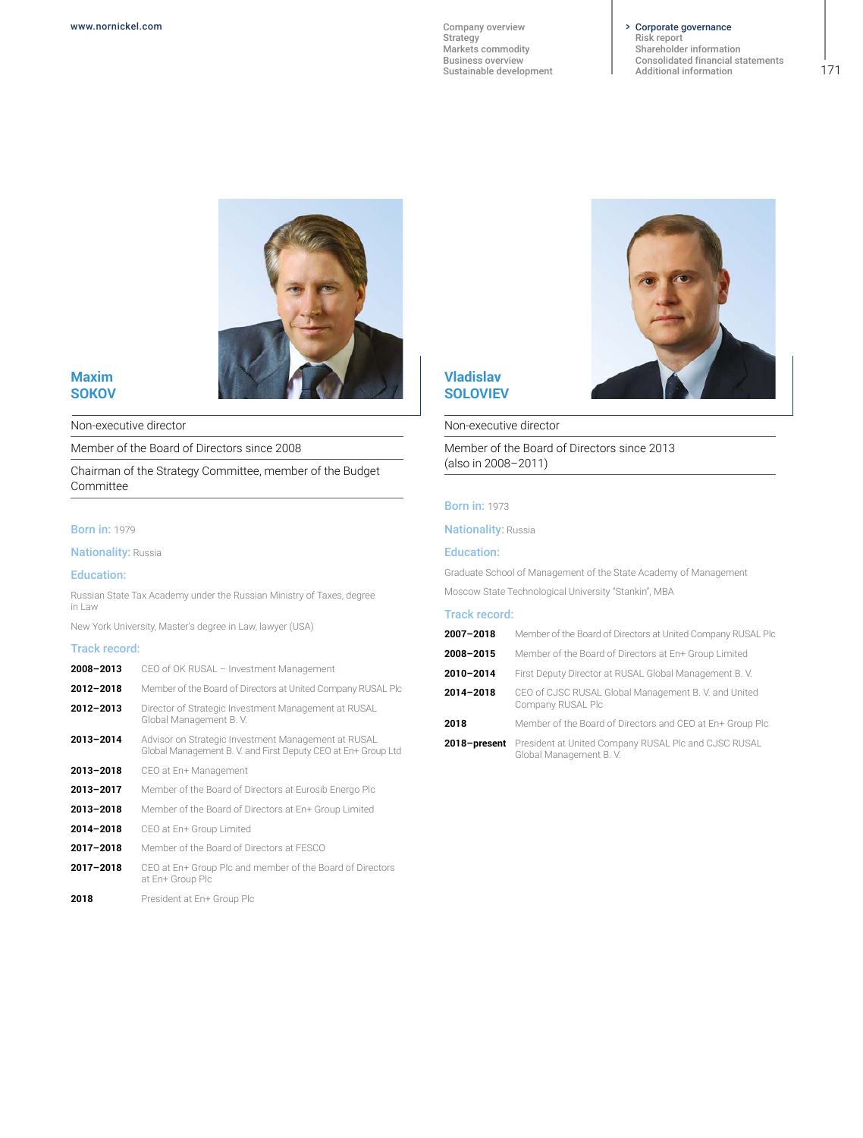#### Corporate governance

[Risk report](#page--1-0) [Shareholder information](#page--1-0) [Consolidated financial statements](#page--1-0) [Additional information](#page--1-0)



# **Maxim SOKOV**

Non-executive director

Member of the Board of Directors since 2008

Chairman of the Strategy Committee, member of the Budget Committee

#### **Born in: 1979**

**Nationality: Russia** 

#### Education:

Russian State Tax Academy under the Russian Ministry of Taxes, degree in Law

New York University, Master's degree in Law, lawyer (USA)

#### Track record:

| 2008-2013 | CEO of OK RUSAL - Investment Management                                                                             |
|-----------|---------------------------------------------------------------------------------------------------------------------|
| 2012-2018 | Member of the Board of Directors at United Company RUSAL Plc                                                        |
| 2012-2013 | Director of Strategic Investment Management at RUSAL<br>Global Management B.V.                                      |
| 2013-2014 | Advisor on Strategic Investment Management at RUSAL<br>Global Management B.V. and First Deputy CEO at En+ Group Ltd |
| 2013-2018 | CEO at En+ Management                                                                                               |
| 2013-2017 | Member of the Board of Directors at Eurosib Energo Plc                                                              |
| 2013-2018 | Member of the Board of Directors at En+ Group Limited                                                               |
| 2014-2018 | CEO at En+ Group Limited                                                                                            |
| 2017-2018 | Member of the Board of Directors at FESCO                                                                           |
| 2017-2018 | CEO at En+ Group Plc and member of the Board of Directors<br>at En+ Group Plc                                       |
| 2018      | President at En+ Group Plc                                                                                          |

# **Vladislav SOLOVIEV**

#### Non-executive director

Member of the Board of Directors since 2013 (also in 2008–2011)

#### **Born in: 1973**

**Nationality: Russia** 

# Education:

Graduate School of Management of the State Academy of Management

Moscow State Technological University "Stankin", MBA

#### Track record:

| 2007-2018 | Member of the Board of Directors at United Company RUSAL Plc              |
|-----------|---------------------------------------------------------------------------|
| 2008-2015 | Member of the Board of Directors at En+ Group Limited                     |
| 2010-2014 | First Deputy Director at RUSAL Global Management B.V.                     |
| 2014-2018 | CEO of CJSC RUSAL Global Management B. V. and United<br>Company RUSAL Plc |
| 2018      | Member of the Board of Directors and CEO at En+ Group Plc                 |
|           | 2018-present President at United Company RUSAL Plc and CJSC RUSAL         |

Global Management B. V.